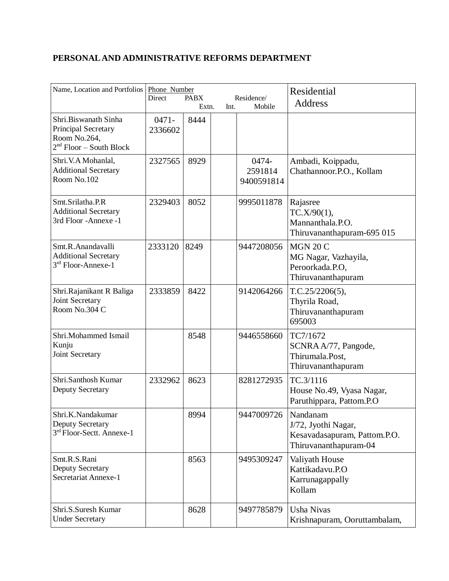## **PERSONAL AND ADMINISTRATIVE REFORMS DEPARTMENT**

| Name, Location and Portfolios                                                            | Phone Number<br>Residence/<br><b>Direct</b><br><b>PABX</b><br>Mobile<br>Extn.<br>Int. |      |  | Residential<br>Address         |                                                                                          |
|------------------------------------------------------------------------------------------|---------------------------------------------------------------------------------------|------|--|--------------------------------|------------------------------------------------------------------------------------------|
| Shri.Biswanath Sinha<br>Principal Secretary<br>Room No.264,<br>$2nd Floor - South Block$ | $0471 -$<br>2336602                                                                   | 8444 |  |                                |                                                                                          |
| Shri.V.A Mohanlal,<br><b>Additional Secretary</b><br>Room No.102                         | 2327565                                                                               | 8929 |  | 0474-<br>2591814<br>9400591814 | Ambadi, Koippadu,<br>Chathannoor.P.O., Kollam                                            |
| Smt.Srilatha.P.R<br><b>Additional Secretary</b><br>3rd Floor -Annexe -1                  | 2329403                                                                               | 8052 |  | 9995011878                     | Rajasree<br>TC.X/90(1),<br>Mannanthala.P.O.<br>Thiruvananthapuram-695 015                |
| Smt.R.Anandavalli<br><b>Additional Secretary</b><br>$3rd$ Floor-Annexe-1                 | 2333120                                                                               | 8249 |  | 9447208056                     | <b>MGN 20 C</b><br>MG Nagar, Vazhayila,<br>Peroorkada.P.O.<br>Thiruvananthapuram         |
| Shri.Rajanikant R Baliga<br>Joint Secretary<br>Room No.304 C                             | 2333859                                                                               | 8422 |  | 9142064266                     | T.C.25/2206(5),<br>Thyrila Road,<br>Thiruvananthapuram<br>695003                         |
| Shri.Mohammed Ismail<br>Kunju<br>Joint Secretary                                         |                                                                                       | 8548 |  | 9446558660                     | TC7/1672<br>SCNRA A/77, Pangode,<br>Thirumala.Post,<br>Thiruvananthapuram                |
| Shri.Santhosh Kumar<br>Deputy Secretary                                                  | 2332962                                                                               | 8623 |  | 8281272935                     | TC.3/1116<br>House No.49, Vyasa Nagar,<br>Paruthippara, Pattom.P.O                       |
| Shri.K.Nandakumar<br>Deputy Secretary<br>3rd Floor-Sectt. Annexe-1                       |                                                                                       | 8994 |  | 9447009726                     | Nandanam<br>J/72, Jyothi Nagar,<br>Kesavadasapuram, Pattom.P.O.<br>Thiruvananthapuram-04 |
| Smt.R.S.Rani<br>Deputy Secretary<br>Secretariat Annexe-1                                 |                                                                                       | 8563 |  | 9495309247                     | Valiyath House<br>Kattikadavu.P.O<br>Karrunagappally<br>Kollam                           |
| Shri.S.Suresh Kumar<br><b>Under Secretary</b>                                            |                                                                                       | 8628 |  | 9497785879                     | <b>Usha Nivas</b><br>Krishnapuram, Ooruttambalam,                                        |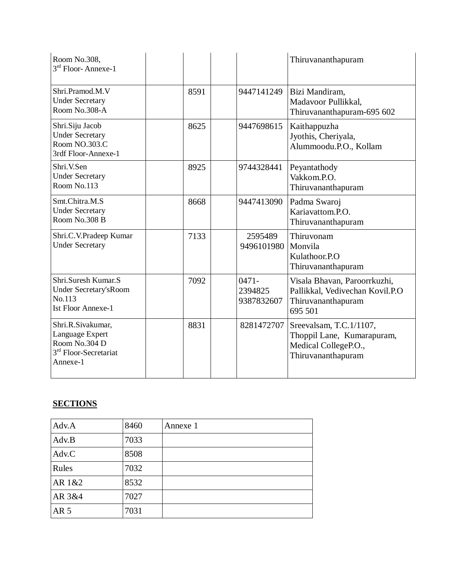| Room No.308,<br>3rd Floor-Annexe-1                                                                     |      |                                   | Thiruvananthapuram                                                                                  |
|--------------------------------------------------------------------------------------------------------|------|-----------------------------------|-----------------------------------------------------------------------------------------------------|
| Shri.Pramod.M.V<br><b>Under Secretary</b><br>Room No.308-A                                             | 8591 | 9447141249                        | Bizi Mandiram,<br>Madavoor Pullikkal,<br>Thiruvananthapuram-695 602                                 |
| Shri.Siju Jacob<br><b>Under Secretary</b><br>Room NO.303.C<br>3rdf Floor-Annexe-1                      | 8625 | 9447698615                        | Kaithappuzha<br>Jyothis, Cheriyala,<br>Alummoodu.P.O., Kollam                                       |
| Shri.V.Sen<br><b>Under Secretary</b><br>Room No.113                                                    | 8925 | 9744328441                        | Peyantathody<br>Vakkom.P.O.<br>Thiruvananthapuram                                                   |
| Smt.Chitra.M.S<br><b>Under Secretary</b><br>Room No.308 B                                              | 8668 | 9447413090                        | Padma Swaroj<br>Kariavattom.P.O.<br>Thiruvananthapuram                                              |
| Shri.C.V.Pradeep Kumar<br><b>Under Secretary</b>                                                       | 7133 | 2595489<br>9496101980             | Thiruvonam<br>Monvila<br>Kulathoor.P.O<br>Thiruvananthapuram                                        |
| Shri.Suresh Kumar.S<br>Under Secretary's Room<br>No.113<br><b>Ist Floor Annexe-1</b>                   | 7092 | $0471 -$<br>2394825<br>9387832607 | Visala Bhavan, Paroorrkuzhi,<br>Pallikkal, Vedivechan Kovil.P.O<br>Thiruvananthapuram<br>695 501    |
| Shri.R.Sivakumar,<br>Language Expert<br>Room No.304 D<br>3 <sup>rd</sup> Floor-Secretariat<br>Annexe-1 | 8831 | 8281472707                        | Sreevalsam, T.C.1/1107,<br>Thoppil Lane, Kumarapuram,<br>Medical CollegeP.O.,<br>Thiruvananthapuram |

## **SECTIONS**

| Adv.A           | 8460 | Annexe 1 |
|-----------------|------|----------|
| Adv.B           | 7033 |          |
| Adv.C           | 8508 |          |
| Rules           | 7032 |          |
| AR 1&2          | 8532 |          |
| AR 3&4          | 7027 |          |
| AR <sub>5</sub> | 7031 |          |